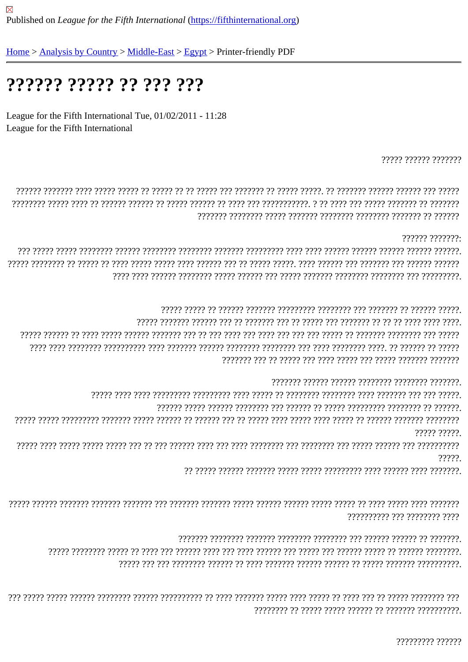## ?????? ????? ?? ??? ???

League for the Fifth International Tue, 01/02/2011 - 11:28 League for the Fifth International

????? ?????? ???????

????? ?????.

?????

7777777777 777 7777777 777

777777777 777777